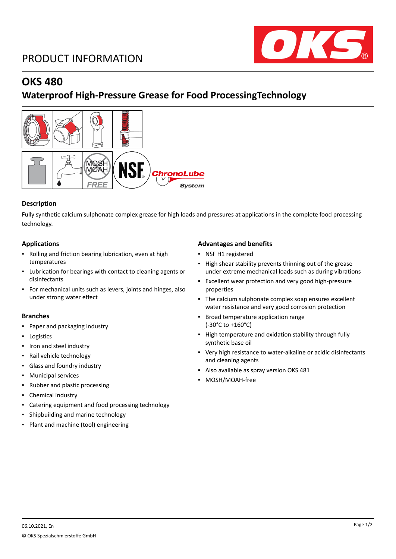# PRODUCT INFORMATION



# **OKS 480**

# **Waterproof High-Pressure Grease for Food ProcessingTechnology**



## **Description**

Fully synthetic calcium sulphonate complex grease for high loads and pressures at applications in the complete food processing technology.

## **Applications**

- Rolling and friction bearing lubrication, even at high temperatures
- Lubrication for bearings with contact to cleaning agents or disinfectants
- For mechanical units such as levers, joints and hinges, also under strong water effect

### **Branches**

- Paper and packaging industry
- Logistics
- Iron and steel industry
- Rail vehicle technology
- Glass and foundry industry
- Municipal services
- Rubber and plastic processing
- Chemical industry
- Catering equipment and food processing technology
- Shipbuilding and marine technology
- Plant and machine (tool) engineering

#### **Advantages and benefits**

- NSF H1 registered
- High shear stability prevents thinning out of the grease under extreme mechanical loads such as during vibrations
- Excellent wear protection and very good high-pressure properties
- The calcium sulphonate complex soap ensures excellent water resistance and very good corrosion protection
- Broad temperature application range (-30°C to +160°C)
- High temperature and oxidation stability through fully synthetic base oil
- Very high resistance to water-alkaline or acidic disinfectants and cleaning agents
- Also available as spray version OKS 481
- MOSH/MOAH-free